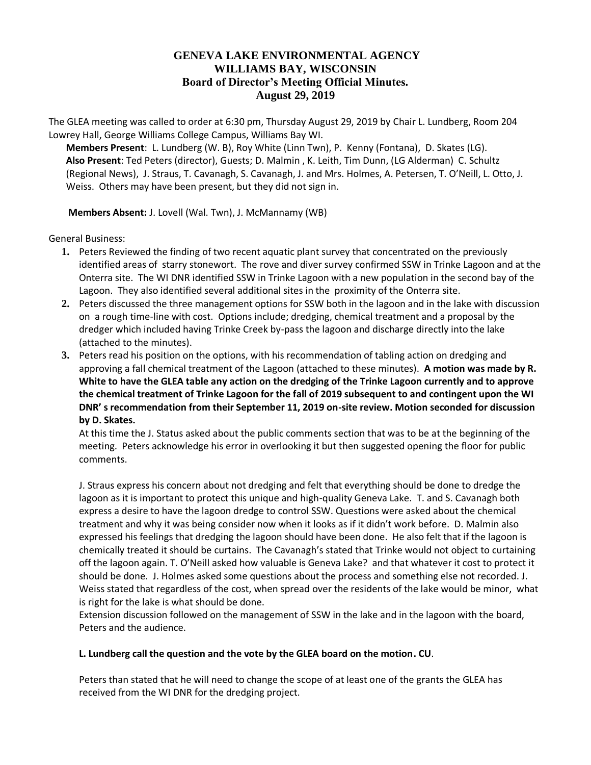## **GENEVA LAKE ENVIRONMENTAL AGENCY WILLIAMS BAY, WISCONSIN Board of Director's Meeting Official Minutes. August 29, 2019**

The GLEA meeting was called to order at 6:30 pm, Thursday August 29, 2019 by Chair L. Lundberg, Room 204 Lowrey Hall, George Williams College Campus, Williams Bay WI.

**Members Present**: L. Lundberg (W. B), Roy White (Linn Twn), P. Kenny (Fontana), D. Skates (LG). **Also Present**: Ted Peters (director), Guests; D. Malmin , K. Leith, Tim Dunn, (LG Alderman) C. Schultz (Regional News), J. Straus, T. Cavanagh, S. Cavanagh, J. and Mrs. Holmes, A. Petersen, T. O'Neill, L. Otto, J. Weiss. Others may have been present, but they did not sign in.

**Members Absent:** J. Lovell (Wal. Twn), J. McMannamy (WB)

General Business:

- **1.** Peters Reviewed the finding of two recent aquatic plant survey that concentrated on the previously identified areas of starry stonewort. The rove and diver survey confirmed SSW in Trinke Lagoon and at the Onterra site. The WI DNR identified SSW in Trinke Lagoon with a new population in the second bay of the Lagoon. They also identified several additional sites in the proximity of the Onterra site.
- **2.** Peters discussed the three management options for SSW both in the lagoon and in the lake with discussion on a rough time-line with cost. Options include; dredging, chemical treatment and a proposal by the dredger which included having Trinke Creek by-pass the lagoon and discharge directly into the lake (attached to the minutes).
- **3.** Peters read his position on the options, with his recommendation of tabling action on dredging and approving a fall chemical treatment of the Lagoon (attached to these minutes). **A motion was made by R. White to have the GLEA table any action on the dredging of the Trinke Lagoon currently and to approve the chemical treatment of Trinke Lagoon for the fall of 2019 subsequent to and contingent upon the WI DNR' s recommendation from their September 11, 2019 on-site review. Motion seconded for discussion by D. Skates.**

At this time the J. Status asked about the public comments section that was to be at the beginning of the meeting. Peters acknowledge his error in overlooking it but then suggested opening the floor for public comments.

J. Straus express his concern about not dredging and felt that everything should be done to dredge the lagoon as it is important to protect this unique and high-quality Geneva Lake. T. and S. Cavanagh both express a desire to have the lagoon dredge to control SSW. Questions were asked about the chemical treatment and why it was being consider now when it looks as if it didn't work before. D. Malmin also expressed his feelings that dredging the lagoon should have been done. He also felt that if the lagoon is chemically treated it should be curtains. The Cavanagh's stated that Trinke would not object to curtaining off the lagoon again. T. O'Neill asked how valuable is Geneva Lake? and that whatever it cost to protect it should be done. J. Holmes asked some questions about the process and something else not recorded. J. Weiss stated that regardless of the cost, when spread over the residents of the lake would be minor, what is right for the lake is what should be done.

Extension discussion followed on the management of SSW in the lake and in the lagoon with the board, Peters and the audience.

## **L. Lundberg call the question and the vote by the GLEA board on the motion. CU**.

Peters than stated that he will need to change the scope of at least one of the grants the GLEA has received from the WI DNR for the dredging project.